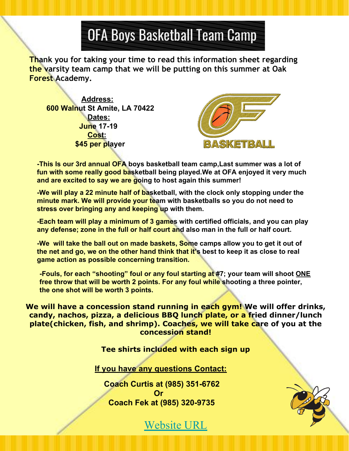## OFA Boys Basketball Team Camp

**Thank you for taking your time to read this information sheet regarding the varsity team camp that we will be putting on this summer at Oak Forest Academy.**

 **Address: 600 Walnut St Amite, LA 70422 Dates: June 17-19 Cost: \$45 per player**



**-This Is our 3rd annual OFA boys basketball team camp,Last summer was a lot of fun with some really good basketball being played.We at OFA enjoyed it very much and are excited to say we are going to host again this summer!**

**-We will play a 22 minute half of basketball, with the clock only stopping under the minute mark. We will provide your team with basketballs so you do not need to stress over bringing any and keeping up with them.** 

**-Each team will play a minimum of 3 games with certified officials, and you can play any defense; zone in the full or half court and also man in the full or half court.**

**-We will take the ball out on made baskets, Some camps allow you to get it out of the net and go, we on the other hand think that it's best to keep it as close to real game action as possible concerning transition.**

**-Fouls, for each "shooting" foul or any foul starting at #7; your team will shoot ONE free throw that will be worth 2 points. For any foul while shooting a three pointer, the one shot will be worth 3 points.**

**We will have a concession stand running in each gym! We will offer drinks, candy, nachos, pizza, a delicious BBQ lunch plate, or a fried dinner/lunch plate(chicken, fish, and shrimp). Coaches, we will take care of you at the concession stand!** 

**Tee shirts included with each sign up**

**If you have any questions Contact:**

**Coach Curtis at (985) 351-6762 Or Coach Fek at (985) 320-9735**



Website URL